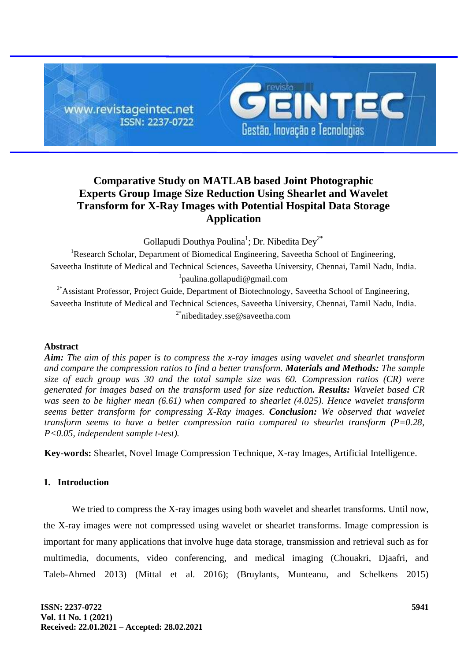

# **Comparative Study on MATLAB based Joint Photographic Experts Group Image Size Reduction Using Shearlet and Wavelet Transform for X-Ray Images with Potential Hospital Data Storage Application**

Gollapudi Douthya Poulina<sup>1</sup>; Dr. Nibedita Dey<sup>2\*</sup>

<sup>1</sup>Research Scholar, Department of Biomedical Engineering, Saveetha School of Engineering, Saveetha Institute of Medical and Technical Sciences, Saveetha University, Chennai, Tamil Nadu, India. 1 [paulina.gollapudi@gmail.com](mailto:paulina.gollapudi@gmail.com)

<sup>2\*</sup>Assistant Professor, Project Guide, Department of Biotechnology, Saveetha School of Engineering, Saveetha Institute of Medical and Technical Sciences, Saveetha University, Chennai, Tamil Nadu, India. <sup>2\*</sup>[nibeditadey.sse@saveetha.com](mailto:nibeditadey.sse@saveetha.com)

## **Abstract**

*Aim: The aim of this paper is to compress the x-ray images using wavelet and shearlet transform and compare the compression ratios to find a better transform. Materials and Methods: The sample size of each group was 30 and the total sample size was 60. Compression ratios (CR) were generated for images based on the transform used for size reduction. Results: Wavelet based CR was seen to be higher mean (6.61) when compared to shearlet (4.025). Hence wavelet transform seems better transform for compressing X-Ray images. Conclusion: We observed that wavelet transform seems to have a better compression ratio compared to shearlet transform (P=0.28, P<0.05, independent sample t-test).*

**Key-words:** Shearlet, Novel Image Compression Technique, X-ray Images, Artificial Intelligence.

# **1. Introduction**

We tried to compress the X-ray images using both wavelet and shearlet transforms. Until now, the X-ray images were not compressed using wavelet or shearlet transforms. Image compression is important for many applications that involve huge data storage, transmission and retrieval such as for multimedia, documents, video conferencing, and medical imaging [\(Chouakri, Djaafri, and](https://paperpile.com/c/DGijtE/b66U)  [Taleb-Ahmed 2013\)](https://paperpile.com/c/DGijtE/b66U) [\(Mittal et al. 2016\);](https://paperpile.com/c/DGijtE/IsFu) [\(Bruylants, Munteanu, and Schelkens 2015\)](https://paperpile.com/c/DGijtE/1k3a)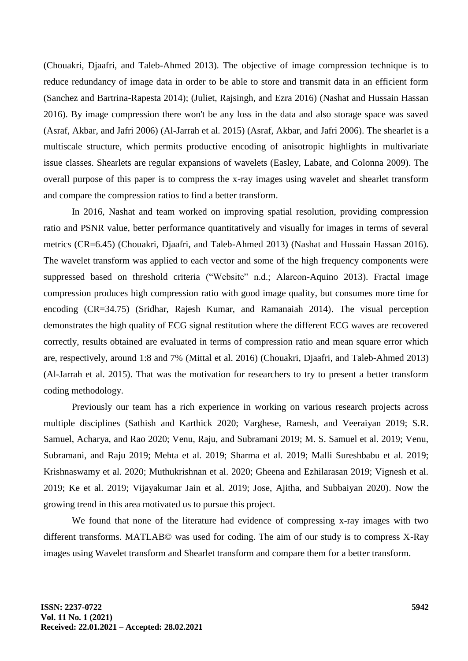[\(Chouakri, Djaafri, and Taleb-Ahmed 2013\).](https://paperpile.com/c/DGijtE/b66U) The objective of image compression technique is to reduce redundancy of image data in order to be able to store and transmit data in an efficient form [\(Sanchez and Bartrina-Rapesta 2014\);](https://paperpile.com/c/DGijtE/tG8b) [\(Juliet, Rajsingh, and Ezra 2016\)](https://paperpile.com/c/DGijtE/N93P) [\(Nashat and Hussain Hassan](https://paperpile.com/c/DGijtE/EDM8)  [2016\).](https://paperpile.com/c/DGijtE/EDM8) By image compression there won't be any loss in the data and also storage space was saved [\(Asraf, Akbar, and Jafri 2006\)](https://paperpile.com/c/DGijtE/LEOe) [\(Al-Jarrah et al. 2015\)](https://paperpile.com/c/DGijtE/pGTG) [\(Asraf, Akbar, and Jafri 2006\).](https://paperpile.com/c/DGijtE/LEOe) The shearlet is a multiscale structure, which permits productive encoding of anisotropic highlights in multivariate issue classes. Shearlets are regular expansions of wavelets [\(Easley, Labate, and Colonna 2009\).](https://paperpile.com/c/DGijtE/TZra) The overall purpose of this paper is to compress the x-ray images using wavelet and shearlet transform and compare the compression ratios to find a better transform.

In 2016, Nashat and team worked on improving spatial resolution, providing compression ratio and PSNR value, better performance quantitatively and visually for images in terms of several metrics (CR=6.45) [\(Chouakri, Djaafri, and Taleb-Ahmed 2013\)](https://paperpile.com/c/DGijtE/b66U) [\(Nashat and Hussain Hassan 2016\).](https://paperpile.com/c/DGijtE/EDM8) The wavelet transform was applied to each vector and some of the high frequency components were suppressed based on threshold criteria [\("Website" n.d.; Alarcon-Aquino 2013\).](https://paperpile.com/c/DGijtE/ORLz+DcBi) Fractal image compression produces high compression ratio with good image quality, but consumes more time for encoding (CR=34.75) [\(Sridhar, Rajesh Kumar, and Ramanaiah 2014\).](https://paperpile.com/c/DGijtE/b7Ty) The visual perception demonstrates the high quality of ECG signal restitution where the different ECG waves are recovered correctly, results obtained are evaluated in terms of compression ratio and mean square error which are, respectively, around 1:8 and 7% [\(Mittal et al. 2016\)](https://paperpile.com/c/DGijtE/IsFu) [\(Chouakri, Djaafri, and](https://paperpile.com/c/DGijtE/b66U) Taleb-Ahmed 2013) [\(Al-Jarrah et al. 2015\).](https://paperpile.com/c/DGijtE/pGTG) That was the motivation for researchers to try to present a better transform coding methodology.

Previously our team has a rich experience in working on various research projects across multiple disciplines [\(Sathish and Karthick 2020; Varghese,](https://paperpile.com/c/DGijtE/BYYzU+Yun6b+Deuw3+9FRxC+muE5d+7W2Hy+uETxp+pXPw4+h6kx1+lVAEU+QE8Wy+Bn959+zfKlL+N6A5r+Tx5CG+rZNUd) Ramesh, and Veeraiyan 2019; S.R. [Samuel, Acharya, and Rao 2020; Venu, Raju, and Subramani 2019; M. S. Samuel et al. 2019; Venu,](https://paperpile.com/c/DGijtE/BYYzU+Yun6b+Deuw3+9FRxC+muE5d+7W2Hy+uETxp+pXPw4+h6kx1+lVAEU+QE8Wy+Bn959+zfKlL+N6A5r+Tx5CG+rZNUd)  [Subramani, and Raju 2019; Mehta et al. 2019; Sharma et al. 2019; Malli Sureshbabu et al. 2019;](https://paperpile.com/c/DGijtE/BYYzU+Yun6b+Deuw3+9FRxC+muE5d+7W2Hy+uETxp+pXPw4+h6kx1+lVAEU+QE8Wy+Bn959+zfKlL+N6A5r+Tx5CG+rZNUd)  [Krishnaswamy et al. 2020; Muthukrishnan et al. 2020; Gheena and Ezhilarasan 2019; Vignesh et al.](https://paperpile.com/c/DGijtE/BYYzU+Yun6b+Deuw3+9FRxC+muE5d+7W2Hy+uETxp+pXPw4+h6kx1+lVAEU+QE8Wy+Bn959+zfKlL+N6A5r+Tx5CG+rZNUd)  [2019; Ke et al. 2019; Vijayakumar Jain et al. 2019; Jose, Ajitha, and Subbaiyan 2020\).](https://paperpile.com/c/DGijtE/BYYzU+Yun6b+Deuw3+9FRxC+muE5d+7W2Hy+uETxp+pXPw4+h6kx1+lVAEU+QE8Wy+Bn959+zfKlL+N6A5r+Tx5CG+rZNUd) Now the growing trend in this area motivated us to pursue this project.

We found that none of the literature had evidence of compressing x-ray images with two different transforms. MATLAB© was used for coding. The aim of our study is to compress X-Ray images using Wavelet transform and Shearlet transform and compare them for a better transform.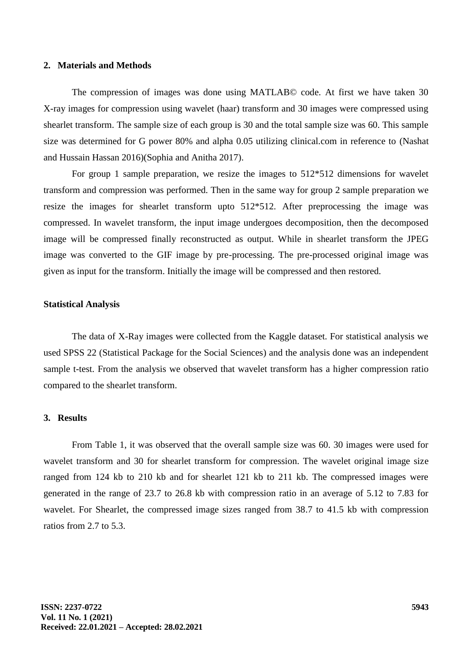#### **2. Materials and Methods**

The compression of images was done using MATLAB© code. At first we have taken 30 X-ray images for compression using wavelet (haar) transform and 30 images were compressed using shearlet transform. The sample size of each group is 30 and the total sample size was 60. This sample size was determined for G power 80% and alpha 0.05 utilizing clinical.com in reference to [\(Nashat](https://paperpile.com/c/DGijtE/EDM8)  [and Hussain Hassan 2016\)](https://paperpile.com/c/DGijtE/EDM8)[\(Sophia and Anitha 2017\).](https://paperpile.com/c/DGijtE/vowz)

For group 1 sample preparation, we resize the images to 512\*512 dimensions for wavelet transform and compression was performed. Then in the same way for group 2 sample preparation we resize the images for shearlet transform upto 512\*512. After preprocessing the image was compressed. In wavelet transform, the input image undergoes decomposition, then the decomposed image will be compressed finally reconstructed as output. While in shearlet transform the JPEG image was converted to the GIF image by pre-processing. The pre-processed original image was given as input for the transform. Initially the image will be compressed and then restored.

#### **Statistical Analysis**

The data of X-Ray images were collected from the Kaggle dataset. For statistical analysis we used SPSS 22 (Statistical Package for the Social Sciences) and the analysis done was an independent sample t-test. From the analysis we observed that wavelet transform has a higher compression ratio compared to the shearlet transform.

## **3. Results**

From Table 1, it was observed that the overall sample size was 60. 30 images were used for wavelet transform and 30 for shearlet transform for compression. The wavelet original image size ranged from 124 kb to 210 kb and for shearlet 121 kb to 211 kb. The compressed images were generated in the range of 23.7 to 26.8 kb with compression ratio in an average of 5.12 to 7.83 for wavelet. For Shearlet, the compressed image sizes ranged from 38.7 to 41.5 kb with compression ratios from 2.7 to 5.3.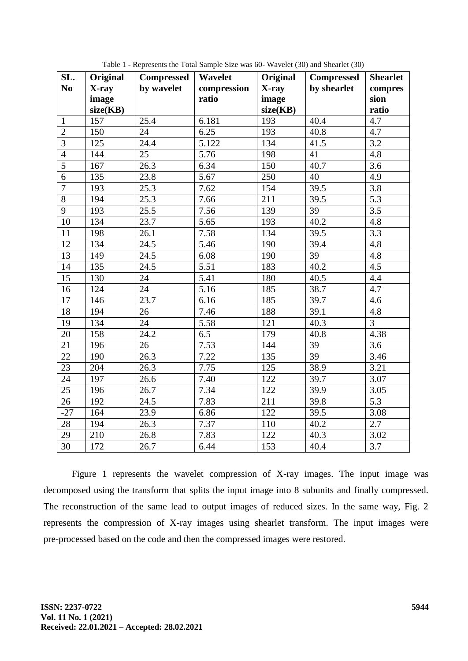| SL.            | Original | <b>Compressed</b> | <b>Wavelet</b> | Original | <b>Compressed</b> | <b>Shearlet</b>  |
|----------------|----------|-------------------|----------------|----------|-------------------|------------------|
| N <sub>0</sub> | X-ray    | by wavelet        | compression    | X-ray    | by shearlet       | compres          |
|                | image    |                   | ratio          | image    |                   | sion             |
|                | size(KB) |                   |                | size(KB) |                   | ratio            |
| $\mathbf{1}$   | 157      | 25.4              | 6.181          | 193      | 40.4              | $\overline{4.7}$ |
| $\overline{2}$ | 150      | 24                | 6.25           | 193      | 40.8              | 4.7              |
| $\overline{3}$ | 125      | 24.4              | 5.122          | 134      | 41.5              | 3.2              |
| $\overline{4}$ | 144      | 25                | 5.76           | 198      | 41                | 4.8              |
| $\overline{5}$ | 167      | 26.3              | 6.34           | 150      | 40.7              | 3.6              |
| 6              | 135      | 23.8              | 5.67           | 250      | 40                | 4.9              |
| $\overline{7}$ | 193      | 25.3              | 7.62           | 154      | 39.5              | 3.8              |
| 8              | 194      | 25.3              | 7.66           | 211      | 39.5              | 5.3              |
| 9              | 193      | 25.5              | 7.56           | 139      | 39                | 3.5              |
| 10             | 134      | 23.7              | 5.65           | 193      | 40.2              | 4.8              |
| 11             | 198      | 26.1              | 7.58           | 134      | 39.5              | 3.3              |
| 12             | 134      | 24.5              | 5.46           | 190      | 39.4              | 4.8              |
| 13             | 149      | 24.5              | 6.08           | 190      | 39                | 4.8              |
| 14             | 135      | 24.5              | 5.51           | 183      | 40.2              | 4.5              |
| 15             | 130      | 24                | 5.41           | 180      | 40.5              | 4.4              |
| 16             | 124      | 24                | 5.16           | 185      | 38.7              | 4.7              |
| 17             | 146      | 23.7              | 6.16           | 185      | 39.7              | 4.6              |
| 18             | 194      | 26                | 7.46           | 188      | 39.1              | 4.8              |
| 19             | 134      | 24                | 5.58           | 121      | 40.3              | $\overline{3}$   |
| 20             | 158      | 24.2              | 6.5            | 179      | 40.8              | 4.38             |
| 21             | 196      | 26                | 7.53           | 144      | 39                | 3.6              |
| 22             | 190      | 26.3              | 7.22           | 135      | 39                | 3.46             |
| 23             | 204      | 26.3              | 7.75           | 125      | 38.9              | 3.21             |
| 24             | 197      | 26.6              | 7.40           | 122      | 39.7              | 3.07             |
| 25             | 196      | 26.7              | 7.34           | 122      | 39.9              | 3.05             |
| 26             | 192      | $\overline{2}4.5$ | 7.83           | 211      | 39.8              | 5.3              |
| $-27$          | 164      | 23.9              | 6.86           | 122      | 39.5              | 3.08             |
| 28             | 194      | 26.3              | 7.37           | 110      | 40.2              | 2.7              |
| 29             | 210      | 26.8              | 7.83           | 122      | 40.3              | 3.02             |
| 30             | 172      | 26.7              | 6.44           | 153      | 40.4              | 3.7              |

Table 1 - Represents the Total Sample Size was 60- Wavelet (30) and Shearlet (30)

Figure 1 represents the wavelet compression of X-ray images. The input image was decomposed using the transform that splits the input image into 8 subunits and finally compressed. The reconstruction of the same lead to output images of reduced sizes. In the same way, Fig. 2 represents the compression of X-ray images using shearlet transform. The input images were pre-processed based on the code and then the compressed images were restored.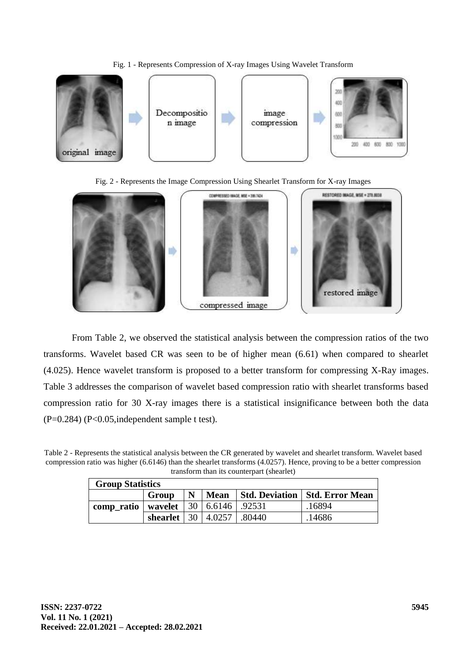## Fig. 1 - Represents Compression of X-ray Images Using Wavelet Transform







From Table 2, we observed the statistical analysis between the compression ratios of the two transforms. Wavelet based CR was seen to be of higher mean (6.61) when compared to shearlet (4.025). Hence wavelet transform is proposed to a better transform for compressing X-Ray images. Table 3 addresses the comparison of wavelet based compression ratio with shearlet transforms based compression ratio for 30 X-ray images there is a statistical insignificance between both the data  $(P=0.284)$   $(P<0.05$ , independent sample t test).

Table 2 - Represents the statistical analysis between the CR generated by wavelet and shearlet transform. Wavelet based compression ratio was higher (6.6146) than the shearlet transforms (4.0257). Hence, proving to be a better compression transform than its counterpart (shearlet)

| <b>Group Statistics</b> |                                 |  |  |                                         |        |  |  |  |
|-------------------------|---------------------------------|--|--|-----------------------------------------|--------|--|--|--|
|                         | N                               |  |  | Mean   Std. Deviation   Std. Error Mean |        |  |  |  |
| comp_ratio              | wavelet   30   6.6146   .92531  |  |  |                                         | .16894 |  |  |  |
|                         | shearlet   30   4.0257   .80440 |  |  |                                         | .14686 |  |  |  |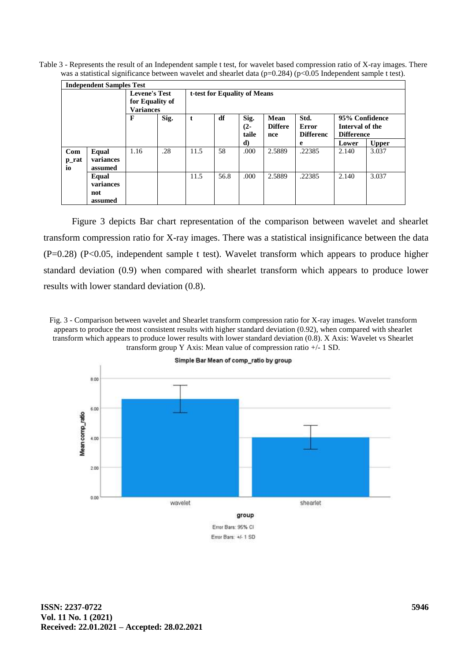Table 3 - Represents the result of an Independent sample t test, for wavelet based compression ratio of X-ray images. There was a statistical significance between wavelet and shearlet data (p=0.284) (p<0.05 Independent sample t test).

| <b>Independent Samples Test</b> |                      |                                                             |      |                              |      |                         |                               |                                   |                                                        |              |
|---------------------------------|----------------------|-------------------------------------------------------------|------|------------------------------|------|-------------------------|-------------------------------|-----------------------------------|--------------------------------------------------------|--------------|
|                                 |                      | <b>Levene's Test</b><br>for Equality of<br><b>Variances</b> |      | t-test for Equality of Means |      |                         |                               |                                   |                                                        |              |
|                                 |                      | F                                                           | Sig. | t                            | df   | Sig.<br>$(2 -$<br>taile | Mean<br><b>Differe</b><br>nce | Std.<br>Error<br><b>Differenc</b> | 95% Confidence<br>Interval of the<br><b>Difference</b> |              |
|                                 |                      |                                                             |      |                              |      | d)                      |                               | e                                 | Lower                                                  | <b>Upper</b> |
| Com                             | Equal                | 1.16                                                        | .28  | 11.5                         | 58   | .000                    | 2.5889                        | .22385                            | 2.140                                                  | 3.037        |
| p_rat<br>io                     | variances<br>assumed |                                                             |      |                              |      |                         |                               |                                   |                                                        |              |
|                                 | Equal<br>variances   |                                                             |      | 11.5                         | 56.8 | .000                    | 2.5889                        | .22385                            | 2.140                                                  | 3.037        |
|                                 | not<br>assumed       |                                                             |      |                              |      |                         |                               |                                   |                                                        |              |

Figure 3 depicts Bar chart representation of the comparison between wavelet and shearlet transform compression ratio for X-ray images. There was a statistical insignificance between the data (P=0.28) (P<0.05, independent sample t test). Wavelet transform which appears to produce higher standard deviation (0.9) when compared with shearlet transform which appears to produce lower results with lower standard deviation (0.8).

Fig. 3 - Comparison between wavelet and Shearlet transform compression ratio for X-ray images. Wavelet transform appears to produce the most consistent results with higher standard deviation (0.92), when compared with shearlet transform which appears to produce lower results with lower standard deviation (0.8). X Axis: Wavelet vs Shearlet transform group Y Axis: Mean value of compression ratio +/- 1 SD.

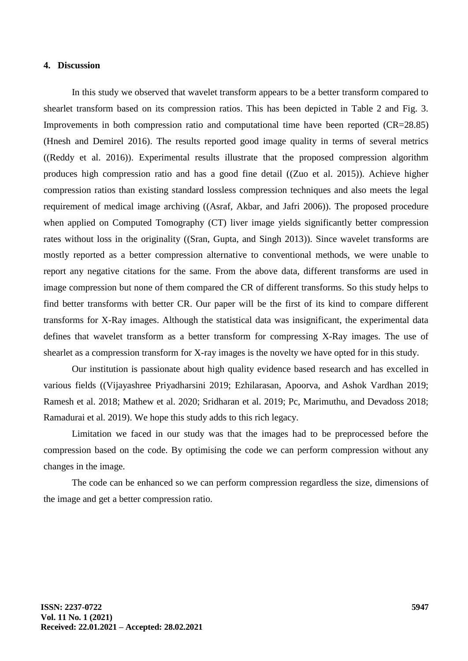## **4. Discussion**

In this study we observed that wavelet transform appears to be a better transform compared to shearlet transform based on its compression ratios. This has been depicted in Table 2 and Fig. 3. Improvements in both compression ratio and computational time have been reported (CR=28.85) [\(Hnesh and Demirel 2016\).](https://paperpile.com/c/DGijtE/qSG8) The results reported good image quality in terms of several metrics [\(\(Reddy et al. 2016\)\)](https://paperpile.com/c/DGijtE/TaFL). Experimental results illustrate that the proposed compression algorithm produces high compression ratio and has a good fine detail [\(\(Zuo et al. 2015\)\)](https://paperpile.com/c/DGijtE/BtmH). Achieve higher compression ratios than existing standard lossless compression techniques and also meets the legal requirement of medical image archiving [\(\(Asraf, Akbar, and Jafri 2006\)\)](https://paperpile.com/c/DGijtE/LEOe). The proposed procedure when applied on Computed Tomography (CT) liver image yields significantly better compression rates without loss in the originality [\(\(Sran, Gupta, and Singh 2013\)\)](https://paperpile.com/c/DGijtE/3eks). Since wavelet transforms are mostly reported as a better compression alternative to conventional methods, we were unable to report any negative citations for the same. From the above data, different transforms are used in image compression but none of them compared the CR of different transforms. So this study helps to find better transforms with better CR. Our paper will be the first of its kind to compare different transforms for X-Ray images. Although the statistical data was insignificant, the experimental data defines that wavelet transform as a better transform for compressing X-Ray images. The use of shearlet as a compression transform for X-ray images is the novelty we have opted for in this study.

Our institution is passionate about high quality evidence based research and has excelled in various fields [\(\(Vijayashree Priyadharsini 2019; Ezhilarasan, Apoorva, and Ashok Vardhan 2019;](https://paperpile.com/c/DGijtE/TCRBq+YXc1W+kDODi+QzCR2+NmJ28+5Df2w+0HFwc)  [Ramesh et al. 2018; Mathew et al. 2020; Sridharan et al. 2019; Pc, Marimuthu, and Devadoss 2018;](https://paperpile.com/c/DGijtE/TCRBq+YXc1W+kDODi+QzCR2+NmJ28+5Df2w+0HFwc)  [Ramadurai et al. 2019\).](https://paperpile.com/c/DGijtE/TCRBq+YXc1W+kDODi+QzCR2+NmJ28+5Df2w+0HFwc) We hope this study adds to this rich legacy.

Limitation we faced in our study was that the images had to be preprocessed before the compression based on the code. By optimising the code we can perform compression without any changes in the image.

The code can be enhanced so we can perform compression regardless the size, dimensions of the image and get a better compression ratio.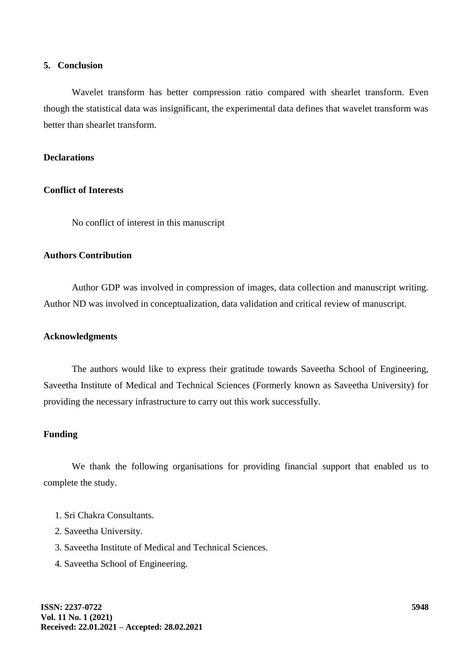## **5. Conclusion**

Wavelet transform has better compression ratio compared with shearlet transform. Even though the statistical data was insignificant, the experimental data defines that wavelet transform was better than shearlet transform.

## **Declarations**

#### **Conflict of Interests**

No conflict of interest in this manuscript

# **Authors Contribution**

Author GDP was involved in compression of images, data collection and manuscript writing. Author ND was involved in conceptualization, data validation and critical review of manuscript.

#### **Acknowledgments**

The authors would like to express their gratitude towards Saveetha School of Engineering, Saveetha Institute of Medical and Technical Sciences (Formerly known as Saveetha University) for providing the necessary infrastructure to carry out this work successfully.

## **Funding**

We thank the following organisations for providing financial support that enabled us to complete the study.

- 1. Sri Chakra Consultants.
- 2. Saveetha University.
- 3. Saveetha Institute of Medical and Technical Sciences.
- 4. Saveetha School of Engineering.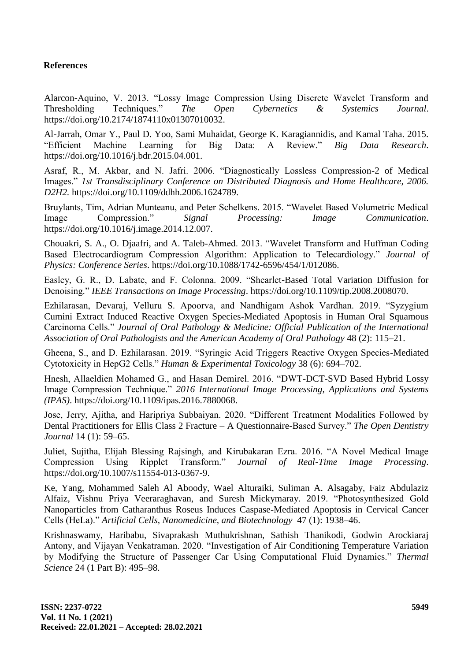## **References**

[Alarcon-Aquino, V. 2013. "Lossy Image Compression Using Discrete Wavelet Transform and](http://paperpile.com/b/DGijtE/DcBi)  [Thresholding Techniques."](http://paperpile.com/b/DGijtE/DcBi) *[The Open Cybernetics & Systemics Journal](http://paperpile.com/b/DGijtE/DcBi)*[.](http://paperpile.com/b/DGijtE/DcBi)  [https://doi.org/10.2174/1874110x01307010032.](http://paperpile.com/b/DGijtE/DcBi)

[Al-Jarrah, Omar Y., Paul D. Yoo, Sami Muhaidat, George K. Karagiannidis, and Kamal Taha. 2015.](http://paperpile.com/b/DGijtE/pGTG)  ["Efficient Machine Learning for Big Data: A Review."](http://paperpile.com/b/DGijtE/pGTG) *[Big Data Research](http://paperpile.com/b/DGijtE/pGTG)*[.](http://paperpile.com/b/DGijtE/pGTG)  [https://doi.org/10.1016/j.bdr.2015.04.001.](http://paperpile.com/b/DGijtE/pGTG)

[Asraf, R., M. Akbar, and N. Jafri. 2006. "Diagnostically Lossless Compression-2 of Medical](http://paperpile.com/b/DGijtE/LEOe)  [Images."](http://paperpile.com/b/DGijtE/LEOe) *[1st Transdisciplinary Conference on Distributed Diagnosis and Home Healthcare, 2006.](http://paperpile.com/b/DGijtE/LEOe)  [D2H2.](http://paperpile.com/b/DGijtE/LEOe)* [https://doi.org/10.1109/ddhh.2006.1624789.](http://paperpile.com/b/DGijtE/LEOe)

[Bruylants, Tim, Adrian Munteanu, and Peter Schelkens. 2015. "Wavelet Based Volumetric Medical](http://paperpile.com/b/DGijtE/1k3a)  [Image Compression."](http://paperpile.com/b/DGijtE/1k3a) *[Signal Processing: Image Communication](http://paperpile.com/b/DGijtE/1k3a)*[.](http://paperpile.com/b/DGijtE/1k3a)  [https://doi.org/10.1016/j.image.2014.12.007.](http://paperpile.com/b/DGijtE/1k3a)

[Chouakri, S. A., O. Djaafri, and A. Taleb-Ahmed. 2013. "Wavelet Transform and Huffman Coding](http://paperpile.com/b/DGijtE/b66U)  [Based Electrocardiogram Compression Algorithm: Application to Telecardiology."](http://paperpile.com/b/DGijtE/b66U) *[Journal of](http://paperpile.com/b/DGijtE/b66U)  [Physics: Conference Series](http://paperpile.com/b/DGijtE/b66U)*[. https://doi.org/10.1088/1742-6596/454/1/012086.](http://paperpile.com/b/DGijtE/b66U)

[Easley, G. R., D. Labate, and F. Colonna. 2009. "Shearlet-Based Total Variation Diffusion for](http://paperpile.com/b/DGijtE/TZra)  [Denoising."](http://paperpile.com/b/DGijtE/TZra) *[IEEE Transactions on Image Processing](http://paperpile.com/b/DGijtE/TZra)*[. https://doi.org/](http://paperpile.com/b/DGijtE/TZra)[10.1109/tip.2008.2008070.](http://dx.doi.org/10.1109/tip.2008.2008070)

[Ezhilarasan, Devaraj, Velluru S. Apoorva, and Nandhigam Ashok Vardhan. 2019. "Syzygium](http://paperpile.com/b/DGijtE/YXc1W)  [Cumini Extract Induced Reactive Oxygen Species-Mediated Apoptosis in Human Oral Squamous](http://paperpile.com/b/DGijtE/YXc1W)  [Carcinoma Cells."](http://paperpile.com/b/DGijtE/YXc1W) *[Journal of Oral Pathology & Medicine: Official Publication of the International](http://paperpile.com/b/DGijtE/YXc1W)  [Association of Oral Pathologists and the American Academy of Oral Pathology](http://paperpile.com/b/DGijtE/YXc1W)* [48 \(2\): 115–21.](http://paperpile.com/b/DGijtE/YXc1W)

[Gheena, S., and D. Ezhilarasan. 2019. "Syringic Acid Triggers Reactive Oxygen Species-Mediated](http://paperpile.com/b/DGijtE/Bn959)  [Cytotoxicity in HepG2 Cells."](http://paperpile.com/b/DGijtE/Bn959) *[Human & Experimental Toxicology](http://paperpile.com/b/DGijtE/Bn959)* [38 \(6\): 694–702.](http://paperpile.com/b/DGijtE/Bn959)

[Hnesh, Allaeldien Mohamed G., and Hasan Demirel. 2016. "DWT-DCT-SVD Based Hybrid Lossy](http://paperpile.com/b/DGijtE/qSG8)  [Image Compression Technique."](http://paperpile.com/b/DGijtE/qSG8) *[2016 International Image Processing, Applications and Systems](http://paperpile.com/b/DGijtE/qSG8)  [\(IPAS\)](http://paperpile.com/b/DGijtE/qSG8)*[. https://doi.org/10.1109/ipas.2016.7880068.](http://paperpile.com/b/DGijtE/qSG8)

[Jose, Jerry, Ajitha, and Haripriya Subbaiyan. 2020. "Different Treatment Modalities Followed by](http://paperpile.com/b/DGijtE/rZNUd)  [Dental Practitioners for Ellis Class 2 Fracture –](http://paperpile.com/b/DGijtE/rZNUd) A Questionnaire-Based Survey." *[The Open Dentistry](http://paperpile.com/b/DGijtE/rZNUd)  [Journal](http://paperpile.com/b/DGijtE/rZNUd)* [14 \(1\): 59–65.](http://paperpile.com/b/DGijtE/rZNUd)

[Juliet, Sujitha, Elijah Blessing Rajsingh, and Kirubakaran Ezra. 2016. "A Novel Medical Image](http://paperpile.com/b/DGijtE/N93P)  [Compression Using Ripplet Transform."](http://paperpile.com/b/DGijtE/N93P) *[Journal of Real-Time Image Processing](http://paperpile.com/b/DGijtE/N93P)*[.](http://paperpile.com/b/DGijtE/N93P)  [https://doi.org/10.1007/s11554-013-0367-9.](http://paperpile.com/b/DGijtE/N93P)

[Ke, Yang, Mohammed Saleh Al Aboody, Wael Alturaiki, Suliman A. Alsagaby, Faiz Abdulaziz](http://paperpile.com/b/DGijtE/N6A5r)  [Alfaiz, Vishnu Priya Veeraraghavan, and Suresh Mickymaray. 2019. "Photosynthesized Gold](http://paperpile.com/b/DGijtE/N6A5r)  [Nanoparticles from Catharanthus Roseus Induces Caspase-Mediated Apoptosis in Cervical Cancer](http://paperpile.com/b/DGijtE/N6A5r)  [Cells \(HeLa\)."](http://paperpile.com/b/DGijtE/N6A5r) *[Artificial Cells, Nanomedicine, and Biotechnology](http://paperpile.com/b/DGijtE/N6A5r)* [47 \(1\): 1938–46.](http://paperpile.com/b/DGijtE/N6A5r)

[Krishnaswamy, Haribabu, Sivaprakash Muthukrishnan, Sathish Thanikodi, Godwin Arockiaraj](http://paperpile.com/b/DGijtE/lVAEU)  [Antony, and Vijayan Venkatraman. 2020. "Investigation of](http://paperpile.com/b/DGijtE/lVAEU) Air Conditioning Temperature Variation [by Modifying the Structure of Passenger Car Using Computational Fluid Dynamics."](http://paperpile.com/b/DGijtE/lVAEU) *[Thermal](http://paperpile.com/b/DGijtE/lVAEU)  [Science](http://paperpile.com/b/DGijtE/lVAEU)* [24 \(1 Part B\): 495–98.](http://paperpile.com/b/DGijtE/lVAEU)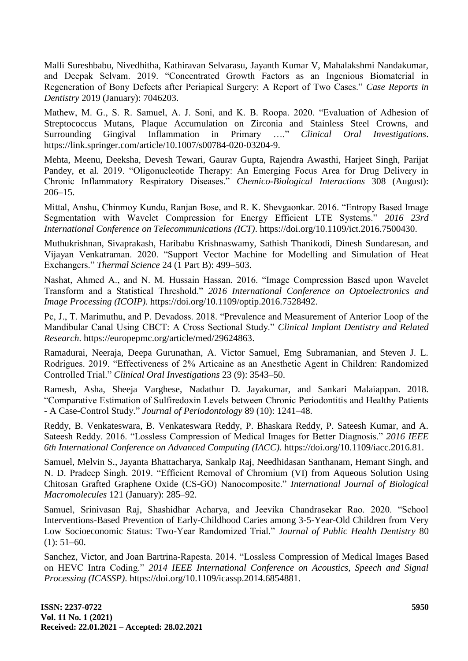[Malli Sureshbabu, Nivedhitha, Kathiravan Selvarasu, Jayanth Kumar V, Mahalakshmi Nandakumar,](http://paperpile.com/b/DGijtE/h6kx1)  [and Deepak Selvam. 2019. "Concentrated Growth Factors as an Ingenious Biomaterial in](http://paperpile.com/b/DGijtE/h6kx1) [Regeneration of Bony Defects after Periapical Surgery: A Report of Two Cases."](http://paperpile.com/b/DGijtE/h6kx1) *[Case Reports in](http://paperpile.com/b/DGijtE/h6kx1)  [Dentistry](http://paperpile.com/b/DGijtE/h6kx1)* [2019 \(January\): 7046203.](http://paperpile.com/b/DGijtE/h6kx1)

[Mathew, M. G., S. R. Samuel, A. J. Soni, and K. B. Roopa. 2020. "Evaluation of Adhesion of](http://paperpile.com/b/DGijtE/QzCR2)  [Streptococcus Mutans, Plaque Accumulation on Zirconia and Stainless Steel Crowns, and](http://paperpile.com/b/DGijtE/QzCR2)  [Surrounding Gingival Inflammation in Primary …."](http://paperpile.com/b/DGijtE/QzCR2) *[Clinical Oral Investigations](http://paperpile.com/b/DGijtE/QzCR2)*[.](http://paperpile.com/b/DGijtE/QzCR2)  [https://link.springer.com/article/10.1007/s00784-020-03204-9.](https://link.springer.com/article/10.1007/s00784-020-03204-9)

[Mehta, Meenu, Deeksha, Devesh Tewari, Gaurav Gupta, Rajendra Awasthi, Harjeet Singh, Parijat](http://paperpile.com/b/DGijtE/uETxp)  [Pandey, et al. 2019. "Oligonucleotide Therapy: An Emerging Focus Area for Drug Delivery in](http://paperpile.com/b/DGijtE/uETxp)  [Chronic Inflammatory Respiratory Diseases."](http://paperpile.com/b/DGijtE/uETxp) *[Chemico-Biological Interactions](http://paperpile.com/b/DGijtE/uETxp)* [308 \(August\):](http://paperpile.com/b/DGijtE/uETxp)  [206–15.](http://paperpile.com/b/DGijtE/uETxp)

[Mittal, Anshu, Chinmoy Kundu, Ranjan Bose, and R. K. Shevgaonkar. 2016. "Entropy Based Image](http://paperpile.com/b/DGijtE/IsFu)  [Segmentation with Wavelet Compression for Energy Efficient LTE Systems."](http://paperpile.com/b/DGijtE/IsFu) *[2016 23rd](http://paperpile.com/b/DGijtE/IsFu)  [International Conference on Telecommunications \(ICT\)](http://paperpile.com/b/DGijtE/IsFu)*[. https://doi.org/10.1109/ict.2016.7500430.](http://paperpile.com/b/DGijtE/IsFu)

[Muthukrishnan, Sivaprakash, Haribabu Krishnaswamy, Sathish Thanikodi, Dinesh Sundaresan, and](http://paperpile.com/b/DGijtE/QE8Wy)  [Vijayan Venkatraman. 2020. "Support Vector Machine for Modelling and Simulation of Heat](http://paperpile.com/b/DGijtE/QE8Wy)  [Exchangers."](http://paperpile.com/b/DGijtE/QE8Wy) *[Thermal Science](http://paperpile.com/b/DGijtE/QE8Wy)* [24 \(1 Part B\): 499–503.](http://paperpile.com/b/DGijtE/QE8Wy)

[Nashat, Ahmed A., and N. M. Hussain Hassan. 2016. "Image Compression Based upon Wavelet](http://paperpile.com/b/DGijtE/EDM8)  [Transform and a Statistical Threshold."](http://paperpile.com/b/DGijtE/EDM8) *[2016 International Conference on Optoelectronics and](http://paperpile.com/b/DGijtE/EDM8)  [Image Processing \(ICOIP\)](http://paperpile.com/b/DGijtE/EDM8)*[. https://doi.org/10.1109/optip.2016.7528492.](http://paperpile.com/b/DGijtE/EDM8)

[Pc, J., T. Marimuthu, and P. Devadoss. 2018. "Prevalence and Measurement of Anterior Loop of the](http://paperpile.com/b/DGijtE/5Df2w)  [Mandibular Canal Using CBCT: A Cross Sectional Study."](http://paperpile.com/b/DGijtE/5Df2w) *Clinical Implant [Dentistry and Related](http://paperpile.com/b/DGijtE/5Df2w)  [Research](http://paperpile.com/b/DGijtE/5Df2w)*[. https://europepmc.org/article/med/29624863.](http://paperpile.com/b/DGijtE/5Df2w)

[Ramadurai, Neeraja, Deepa Gurunathan, A. Victor Samuel, Emg Subramanian, and Steven J. L.](http://paperpile.com/b/DGijtE/0HFwc)  [Rodrigues. 2019. "Effectiveness of 2% Articaine as an Anesthetic Agent in Children: Randomized](http://paperpile.com/b/DGijtE/0HFwc)  [Controlled Trial."](http://paperpile.com/b/DGijtE/0HFwc) *[Clinical Oral Investigations](http://paperpile.com/b/DGijtE/0HFwc)* [23 \(9\): 3543–50.](http://paperpile.com/b/DGijtE/0HFwc)

[Ramesh, Asha, Sheeja Varghese, Nadathur D. Jayakumar, and Sankari Malaiappan. 2018.](http://paperpile.com/b/DGijtE/kDODi)  ["Comparative Estimation of Sulfiredoxin Levels between Chronic Periodontitis and Healthy Patients](http://paperpile.com/b/DGijtE/kDODi)  - [A Case-Control Study."](http://paperpile.com/b/DGijtE/kDODi) *[Journal of Periodontology](http://paperpile.com/b/DGijtE/kDODi)* [89 \(10\): 1241–48.](http://paperpile.com/b/DGijtE/kDODi)

[Reddy, B. Venkateswara, B. Venkateswara Reddy, P. Bhaskara Reddy, P. Sateesh Kumar, and A.](http://paperpile.com/b/DGijtE/TaFL)  [Sateesh Reddy. 2016. "Lossless Compression of Medical](http://paperpile.com/b/DGijtE/TaFL) Images for Better Diagnosis." *[2016 IEEE](http://paperpile.com/b/DGijtE/TaFL)  [6th International Conference on Advanced Computing \(IACC\)](http://paperpile.com/b/DGijtE/TaFL)*[. https://doi.org/10.1109/iacc.2016.81.](http://paperpile.com/b/DGijtE/TaFL)

[Samuel, Melvin S., Jayanta Bhattacharya, Sankalp Raj, Needhidasan Santhanam, Hemant Singh, and](http://paperpile.com/b/DGijtE/muE5d)  [N. D. Pradeep Singh. 2019. "Efficient Removal of Chromium](http://paperpile.com/b/DGijtE/muE5d) (VI) from Aqueous Solution Using [Chitosan Grafted Graphene Oxide \(CS-GO\) Nanocomposite."](http://paperpile.com/b/DGijtE/muE5d) *[International Journal of Biological](http://paperpile.com/b/DGijtE/muE5d)  [Macromolecules](http://paperpile.com/b/DGijtE/muE5d)* [121 \(January\): 285–92.](http://paperpile.com/b/DGijtE/muE5d)

[Samuel, Srinivasan Raj, Shashidhar Acharya, and Jeevika Chandrasekar Rao. 2020. "School](http://paperpile.com/b/DGijtE/Deuw3)  [Interventions-Based Prevention of Early-Childhood Caries among 3-5-Year-Old Children from Very](http://paperpile.com/b/DGijtE/Deuw3)  [Low Socioeconomic Status: Two-Year Randomized Trial."](http://paperpile.com/b/DGijtE/Deuw3) *[Journal of Public Health Dentistry](http://paperpile.com/b/DGijtE/Deuw3)* [80](http://paperpile.com/b/DGijtE/Deuw3)   $(1): 51-60.$ 

[Sanchez, Victor, and Joan Bartrina-Rapesta. 2014. "Lossless Compression of Medical Images Based](http://paperpile.com/b/DGijtE/tG8b)  [on HEVC Intra Coding."](http://paperpile.com/b/DGijtE/tG8b) *[2014 IEEE International Conference on Acoustics, Speech and Signal](http://paperpile.com/b/DGijtE/tG8b)  [Processing \(ICASSP\)](http://paperpile.com/b/DGijtE/tG8b)*[. https://doi.org/10.1109/icassp.2014.6854881.](http://paperpile.com/b/DGijtE/tG8b)